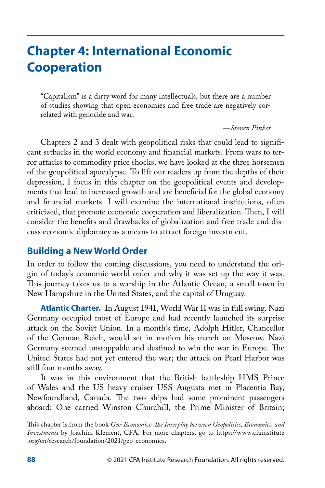# **Chapter 4: International Economic Cooperation**

"Capitalism" is a dirty word for many intellectuals, but there are a number of studies showing that open economies and free trade are negatively correlated with genocide and war.

*—Steven Pinker*

Chapters 2 and 3 dealt with geopolitical risks that could lead to significant setbacks in the world economy and financial markets. From wars to terror attacks to commodity price shocks, we have looked at the three horsemen of the geopolitical apocalypse. To lift our readers up from the depths of their depression, I focus in this chapter on the geopolitical events and developments that lead to increased growth and are beneficial for the global economy and financial markets. I will examine the international institutions, often criticized, that promote economic cooperation and liberalization. Then, I will consider the benefits and drawbacks of globalization and free trade and discuss economic diplomacy as a means to attract foreign investment.

## **Building a New World Order**

In order to follow the coming discussions, you need to understand the origin of today's economic world order and why it was set up the way it was. This journey takes us to a warship in the Atlantic Ocean, a small town in New Hampshire in the United States, and the capital of Uruguay.

**Atlantic Charter.** In August 1941, World War II was in full swing. Nazi Germany occupied most of Europe and had recently launched its surprise attack on the Soviet Union. In a month's time, Adolph Hitler, Chancellor of the German Reich, would set in motion his march on Moscow. Nazi Germany seemed unstoppable and destined to win the war in Europe. The United States had not yet entered the war; the attack on Pearl Harbor was still four months away.

It was in this environment that the British battleship HMS Prince of Wales and the US heavy cruiser USS Augusta met in Placentia Bay, Newfoundland, Canada. The two ships had some prominent passengers aboard: One carried Winston Churchill, the Prime Minister of Britain;

This chapter is from the book *Geo-Economics: The Interplay between Geopolitics, Economics, and Investments* by Joachim Klement, CFA. For more chapters, go to [https://www.cfainstitute](https://www.cfainstitute.org/en/research/foundation/2021/geo-economics) [.org/en/research/foundation/2021/geo-economics.](https://www.cfainstitute.org/en/research/foundation/2021/geo-economics)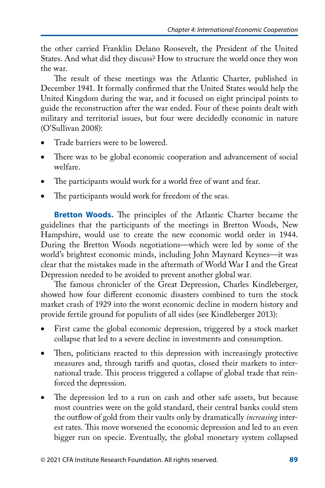the other carried Franklin Delano Roosevelt, the President of the United States. And what did they discuss? How to structure the world once they won the war.

The result of these meetings was the Atlantic Charter, published in December 1941. It formally confirmed that the United States would help the United Kingdom during the war, and it focused on eight principal points to guide the reconstruction after the war ended. Four of these points dealt with military and territorial issues, but four were decidedly economic in nature (O'Sullivan 2008):

- Trade barriers were to be lowered.
- There was to be global economic cooperation and advancement of social welfare.
- The participants would work for a world free of want and fear.
- The participants would work for freedom of the seas.

**Bretton Woods.** The principles of the Atlantic Charter became the guidelines that the participants of the meetings in Bretton Woods, New Hampshire, would use to create the new economic world order in 1944. During the Bretton Woods negotiations—which were led by some of the world's brightest economic minds, including John Maynard Keynes—it was clear that the mistakes made in the aftermath of World War I and the Great Depression needed to be avoided to prevent another global war.

The famous chronicler of the Great Depression, Charles Kindleberger, showed how four different economic disasters combined to turn the stock market crash of 1929 into the worst economic decline in modern history and provide fertile ground for populists of all sides (see Kindleberger 2013):

- First came the global economic depression, triggered by a stock market collapse that led to a severe decline in investments and consumption.
- Then, politicians reacted to this depression with increasingly protective measures and, through tariffs and quotas, closed their markets to international trade. This process triggered a collapse of global trade that reinforced the depression.
- The depression led to a run on cash and other safe assets, but because most countries were on the gold standard, their central banks could stem the outflow of gold from their vaults only by dramatically *increasing* interest rates. This move worsened the economic depression and led to an even bigger run on specie. Eventually, the global monetary system collapsed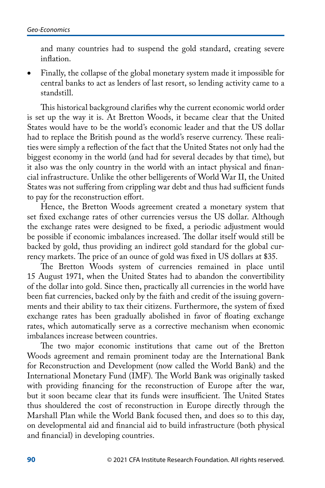and many countries had to suspend the gold standard, creating severe inflation.

• Finally, the collapse of the global monetary system made it impossible for central banks to act as lenders of last resort, so lending activity came to a standstill.

This historical background clarifies why the current economic world order is set up the way it is. At Bretton Woods, it became clear that the United States would have to be the world's economic leader and that the US dollar had to replace the British pound as the world's reserve currency. These realities were simply a reflection of the fact that the United States not only had the biggest economy in the world (and had for several decades by that time), but it also was the only country in the world with an intact physical and financial infrastructure. Unlike the other belligerents of World War II, the United States was not suffering from crippling war debt and thus had sufficient funds to pay for the reconstruction effort.

Hence, the Bretton Woods agreement created a monetary system that set fixed exchange rates of other currencies versus the US dollar. Although the exchange rates were designed to be fixed, a periodic adjustment would be possible if economic imbalances increased. The dollar itself would still be backed by gold, thus providing an indirect gold standard for the global currency markets. The price of an ounce of gold was fixed in US dollars at \$35.

The Bretton Woods system of currencies remained in place until 15 August 1971, when the United States had to abandon the convertibility of the dollar into gold. Since then, practically all currencies in the world have been fiat currencies, backed only by the faith and credit of the issuing governments and their ability to tax their citizens. Furthermore, the system of fixed exchange rates has been gradually abolished in favor of floating exchange rates, which automatically serve as a corrective mechanism when economic imbalances increase between countries.

The two major economic institutions that came out of the Bretton Woods agreement and remain prominent today are the International Bank for Reconstruction and Development (now called the World Bank) and the International Monetary Fund (IMF). The World Bank was originally tasked with providing financing for the reconstruction of Europe after the war, but it soon became clear that its funds were insufficient. The United States thus shouldered the cost of reconstruction in Europe directly through the Marshall Plan while the World Bank focused then, and does so to this day, on developmental aid and financial aid to build infrastructure (both physical and financial) in developing countries.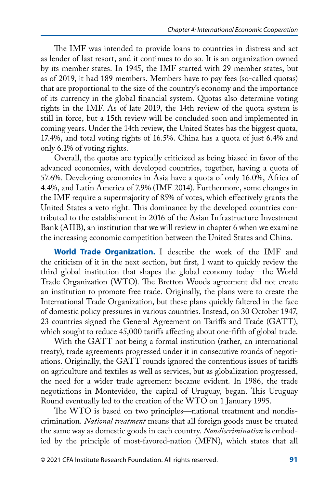The IMF was intended to provide loans to countries in distress and act as lender of last resort, and it continues to do so. It is an organization owned by its member states. In 1945, the IMF started with 29 member states, but as of 2019, it had 189 members. Members have to pay fees (so-called quotas) that are proportional to the size of the country's economy and the importance of its currency in the global financial system. Quotas also determine voting rights in the IMF. As of late 2019, the 14th review of the quota system is still in force, but a 15th review will be concluded soon and implemented in coming years. Under the 14th review, the United States has the biggest quota, 17.4%, and total voting rights of 16.5%. China has a quota of just 6.4% and only 6.1% of voting rights.

Overall, the quotas are typically criticized as being biased in favor of the advanced economies, with developed countries, together, having a quota of 57.6%. Developing economies in Asia have a quota of only 16.0%, Africa of 4.4%, and Latin America of 7.9% (IMF 2014). Furthermore, some changes in the IMF require a supermajority of 85% of votes, which effectively grants the United States a veto right. This dominance by the developed countries contributed to the establishment in 2016 of the Asian Infrastructure Investment Bank (AIIB), an institution that we will review in chapter 6 when we examine the increasing economic competition between the United States and China.

**World Trade Organization.** I describe the work of the IMF and the criticism of it in the next section, but first, I want to quickly review the third global institution that shapes the global economy today—the World Trade Organization (WTO). The Bretton Woods agreement did not create an institution to promote free trade. Originally, the plans were to create the International Trade Organization, but these plans quickly faltered in the face of domestic policy pressures in various countries. Instead, on 30 October 1947, 23 countries signed the General Agreement on Tariffs and Trade (GATT), which sought to reduce 45,000 tariffs affecting about one-fifth of global trade.

With the GATT not being a formal institution (rather, an international treaty), trade agreements progressed under it in consecutive rounds of negotiations. Originally, the GATT rounds ignored the contentious issues of tariffs on agriculture and textiles as well as services, but as globalization progressed, the need for a wider trade agreement became evident. In 1986, the trade negotiations in Montevideo, the capital of Uruguay, began. This Uruguay Round eventually led to the creation of the WTO on 1 January 1995.

The WTO is based on two principles—national treatment and nondiscrimination. *National treatment* means that all foreign goods must be treated the same way as domestic goods in each country. *Nondiscrimination* is embodied by the principle of most-favored-nation (MFN), which states that all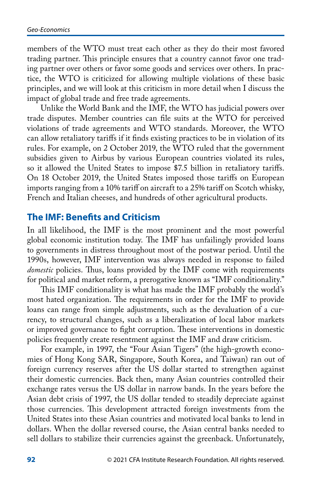members of the WTO must treat each other as they do their most favored trading partner. This principle ensures that a country cannot favor one trading partner over others or favor some goods and services over others. In practice, the WTO is criticized for allowing multiple violations of these basic principles, and we will look at this criticism in more detail when I discuss the impact of global trade and free trade agreements.

Unlike the World Bank and the IMF, the WTO has judicial powers over trade disputes. Member countries can file suits at the WTO for perceived violations of trade agreements and WTO standards. Moreover, the WTO can allow retaliatory tariffs if it finds existing practices to be in violation of its rules. For example, on 2 October 2019, the WTO ruled that the government subsidies given to Airbus by various European countries violated its rules, so it allowed the United States to impose \$7.5 billion in retaliatory tariffs. On 18 October 2019, the United States imposed those tariffs on European imports ranging from a 10% tariff on aircraft to a 25% tariff on Scotch whisky, French and Italian cheeses, and hundreds of other agricultural products.

## **The IMF: Benefits and Criticism**

In all likelihood, the IMF is the most prominent and the most powerful global economic institution today. The IMF has unfailingly provided loans to governments in distress throughout most of the postwar period. Until the 1990s, however, IMF intervention was always needed in response to failed *domestic* policies. Thus, loans provided by the IMF come with requirements for political and market reform, a prerogative known as "IMF conditionality."

This IMF conditionality is what has made the IMF probably the world's most hated organization. The requirements in order for the IMF to provide loans can range from simple adjustments, such as the devaluation of a currency, to structural changes, such as a liberalization of local labor markets or improved governance to fight corruption. These interventions in domestic policies frequently create resentment against the IMF and draw criticism.

For example, in 1997, the "Four Asian Tigers" (the high-growth economies of Hong Kong SAR, Singapore, South Korea, and Taiwan) ran out of foreign currency reserves after the US dollar started to strengthen against their domestic currencies. Back then, many Asian countries controlled their exchange rates versus the US dollar in narrow bands. In the years before the Asian debt crisis of 1997, the US dollar tended to steadily depreciate against those currencies. This development attracted foreign investments from the United States into these Asian countries and motivated local banks to lend in dollars. When the dollar reversed course, the Asian central banks needed to sell dollars to stabilize their currencies against the greenback. Unfortunately,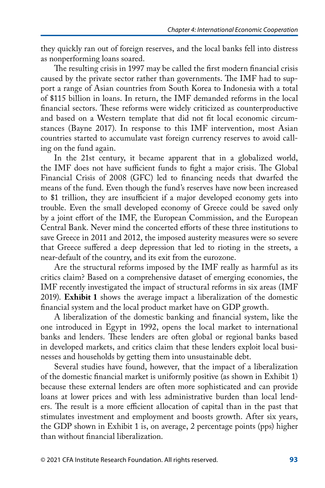they quickly ran out of foreign reserves, and the local banks fell into distress as nonperforming loans soared.

The resulting crisis in 1997 may be called the first modern financial crisis caused by the private sector rather than governments. The IMF had to support a range of Asian countries from South Korea to Indonesia with a total of \$115 billion in loans. In return, the IMF demanded reforms in the local financial sectors. These reforms were widely criticized as counterproductive and based on a Western template that did not fit local economic circumstances (Bayne 2017). In response to this IMF intervention, most Asian countries started to accumulate vast foreign currency reserves to avoid calling on the fund again.

In the 21st century, it became apparent that in a globalized world, the IMF does not have sufficient funds to fight a major crisis. The Global Financial Crisis of 2008 (GFC) led to financing needs that dwarfed the means of the fund. Even though the fund's reserves have now been increased to \$1 trillion, they are insufficient if a major developed economy gets into trouble. Even the small developed economy of Greece could be saved only by a joint effort of the IMF, the European Commission, and the European Central Bank. Never mind the concerted efforts of these three institutions to save Greece in 2011 and 2012, the imposed austerity measures were so severe that Greece suffered a deep depression that led to rioting in the streets, a near-default of the country, and its exit from the eurozone.

Are the structural reforms imposed by the IMF really as harmful as its critics claim? Based on a comprehensive dataset of emerging economies, the IMF recently investigated the impact of structural reforms in six areas (IMF 2019). **Exhibit 1** shows the average impact a liberalization of the domestic financial system and the local product market have on GDP growth.

A liberalization of the domestic banking and financial system, like the one introduced in Egypt in 1992, opens the local market to international banks and lenders. These lenders are often global or regional banks based in developed markets, and critics claim that these lenders exploit local businesses and households by getting them into unsustainable debt.

Several studies have found, however, that the impact of a liberalization of the domestic financial market is uniformly positive (as shown in Exhibit 1) because these external lenders are often more sophisticated and can provide loans at lower prices and with less administrative burden than local lenders. The result is a more efficient allocation of capital than in the past that stimulates investment and employment and boosts growth. After six years, the GDP shown in Exhibit 1 is, on average, 2 percentage points (pps) higher than without financial liberalization.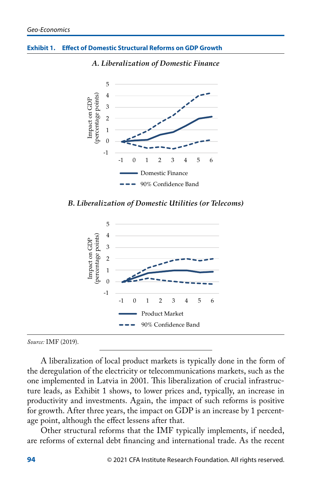#### **Exhibit 1. Effect of Domestic Structural Reforms on GDP Growth**



*A. Liberalization of Domestic Finance*

*B. Liberalization of Domestic Utilities (or Telecoms)*



*Source:* IMF (2019).

A liberalization of local product markets is typically done in the form of the deregulation of the electricity or telecommunications markets, such as the one implemented in Latvia in 2001. This liberalization of crucial infrastructure leads, as Exhibit 1 shows, to lower prices and, typically, an increase in productivity and investments. Again, the impact of such reforms is positive for growth. After three years, the impact on GDP is an increase by 1 percentage point, although the effect lessens after that.

Other structural reforms that the IMF typically implements, if needed, are reforms of external debt financing and international trade. As the recent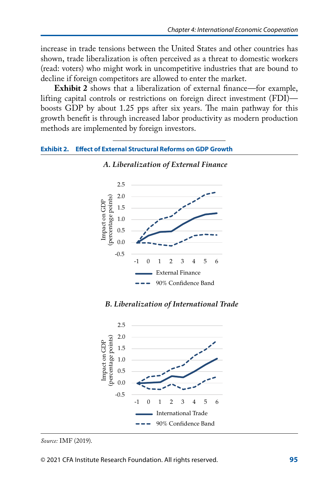increase in trade tensions between the United States and other countries has shown, trade liberalization is often perceived as a threat to domestic workers (read: voters) who might work in uncompetitive industries that are bound to decline if foreign competitors are allowed to enter the market.

**Exhibit 2** shows that a liberalization of external finance—for example, lifting capital controls or restrictions on foreign direct investment (FDI) boosts GDP by about 1.25 pps after six years. The main pathway for this growth benefit is through increased labor productivity as modern production methods are implemented by foreign investors.

## **Exhibit 2. Effect of External Structural Reforms on GDP Growth**



*A. Liberalization of External Finance*

*B. Liberalization of International Trade*



*Source:* IMF (2019).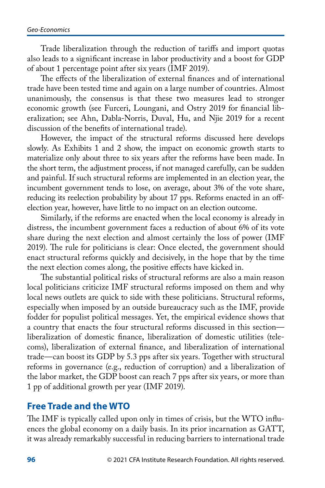Trade liberalization through the reduction of tariffs and import quotas also leads to a significant increase in labor productivity and a boost for GDP of about 1 percentage point after six years (IMF 2019).

The effects of the liberalization of external finances and of international trade have been tested time and again on a large number of countries. Almost unanimously, the consensus is that these two measures lead to stronger economic growth (see Furceri, Loungani, and Ostry 2019 for financial liberalization; see Ahn, Dabla-Norris, Duval, Hu, and Njie 2019 for a recent discussion of the benefits of international trade).

However, the impact of the structural reforms discussed here develops slowly. As Exhibits 1 and 2 show, the impact on economic growth starts to materialize only about three to six years after the reforms have been made. In the short term, the adjustment process, if not managed carefully, can be sudden and painful. If such structural reforms are implemented in an election year, the incumbent government tends to lose, on average, about 3% of the vote share, reducing its reelection probability by about 17 pps. Reforms enacted in an offelection year, however, have little to no impact on an election outcome.

Similarly, if the reforms are enacted when the local economy is already in distress, the incumbent government faces a reduction of about 6% of its vote share during the next election and almost certainly the loss of power (IMF 2019). The rule for politicians is clear: Once elected, the government should enact structural reforms quickly and decisively, in the hope that by the time the next election comes along, the positive effects have kicked in.

The substantial political risks of structural reforms are also a main reason local politicians criticize IMF structural reforms imposed on them and why local news outlets are quick to side with these politicians. Structural reforms, especially when imposed by an outside bureaucracy such as the IMF, provide fodder for populist political messages. Yet, the empirical evidence shows that a country that enacts the four structural reforms discussed in this section liberalization of domestic finance, liberalization of domestic utilities (telecoms), liberalization of external finance, and liberalization of international trade—can boost its GDP by 5.3 pps after six years. Together with structural reforms in governance (e.g., reduction of corruption) and a liberalization of the labor market, the GDP boost can reach 7 pps after six years, or more than 1 pp of additional growth per year (IMF 2019).

## **Free Trade and the WTO**

The IMF is typically called upon only in times of crisis, but the WTO influences the global economy on a daily basis. In its prior incarnation as GATT, it was already remarkably successful in reducing barriers to international trade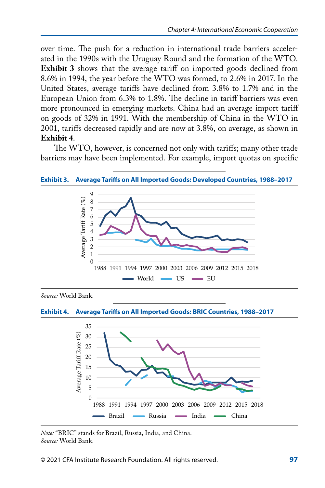over time. The push for a reduction in international trade barriers accelerated in the 1990s with the Uruguay Round and the formation of the WTO. **Exhibit 3** shows that the average tariff on imported goods declined from 8.6% in 1994, the year before the WTO was formed, to 2.6% in 2017. In the United States, average tariffs have declined from 3.8% to 1.7% and in the European Union from 6.3% to 1.8%. The decline in tariff barriers was even more pronounced in emerging markets. China had an average import tariff on goods of 32% in 1991. With the membership of China in the WTO in 2001, tariffs decreased rapidly and are now at 3.8%, on average, as shown in **Exhibit 4**.

The WTO, however, is concerned not only with tariffs; many other trade barriers may have been implemented. For example, import quotas on specific



*Source:* World Bank.

#### **Exhibit 4. Average Tariffs on All Imported Goods: BRIC Countries, 1988–2017**



*Note:* "BRIC" stands for Brazil, Russia, India, and China. *Source:* World Bank.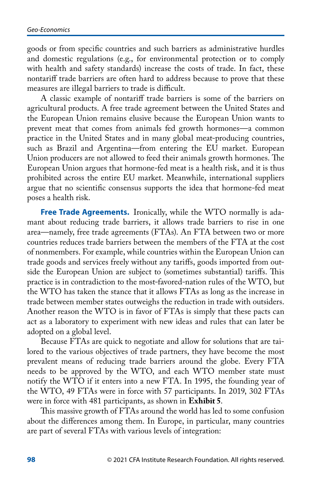goods or from specific countries and such barriers as administrative hurdles and domestic regulations (e.g., for environmental protection or to comply with health and safety standards) increase the costs of trade. In fact, these nontariff trade barriers are often hard to address because to prove that these measures are illegal barriers to trade is difficult.

A classic example of nontariff trade barriers is some of the barriers on agricultural products. A free trade agreement between the United States and the European Union remains elusive because the European Union wants to prevent meat that comes from animals fed growth hormones—a common practice in the United States and in many global meat-producing countries, such as Brazil and Argentina—from entering the EU market. European Union producers are not allowed to feed their animals growth hormones. The European Union argues that hormone-fed meat is a health risk, and it is thus prohibited across the entire EU market. Meanwhile, international suppliers argue that no scientific consensus supports the idea that hormone-fed meat poses a health risk.

Free Trade Agreements. Ironically, while the WTO normally is adamant about reducing trade barriers, it allows trade barriers to rise in one area—namely, free trade agreements (FTAs). An FTA between two or more countries reduces trade barriers between the members of the FTA at the cost of nonmembers. For example, while countries within the European Union can trade goods and services freely without any tariffs, goods imported from outside the European Union are subject to (sometimes substantial) tariffs. This practice is in contradiction to the most-favored-nation rules of the WTO, but the WTO has taken the stance that it allows FTAs as long as the increase in trade between member states outweighs the reduction in trade with outsiders. Another reason the WTO is in favor of FTAs is simply that these pacts can act as a laboratory to experiment with new ideas and rules that can later be adopted on a global level.

Because FTAs are quick to negotiate and allow for solutions that are tailored to the various objectives of trade partners, they have become the most prevalent means of reducing trade barriers around the globe. Every FTA needs to be approved by the WTO, and each WTO member state must notify the WTO if it enters into a new FTA. In 1995, the founding year of the WTO, 49 FTAs were in force with 57 participants. In 2019, 302 FTAs were in force with 481 participants, as shown in **Exhibit 5**.

This massive growth of FTAs around the world has led to some confusion about the differences among them. In Europe, in particular, many countries are part of several FTAs with various levels of integration: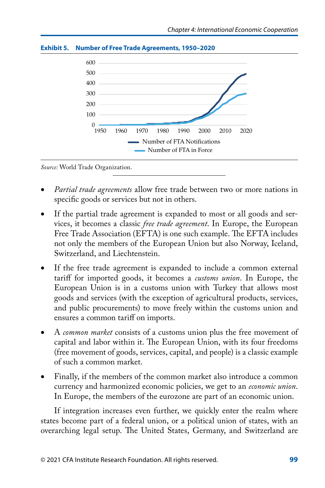

### **Exhibit 5. Number of Free Trade Agreements, 1950–2020**



- *Partial trade agreements* allow free trade between two or more nations in specific goods or services but not in others.
- If the partial trade agreement is expanded to most or all goods and services, it becomes a classic *free trade agreement*. In Europe, the European Free Trade Association (EFTA) is one such example. The EFTA includes not only the members of the European Union but also Norway, Iceland, Switzerland, and Liechtenstein.
- If the free trade agreement is expanded to include a common external tariff for imported goods, it becomes a *customs union*. In Europe, the European Union is in a customs union with Turkey that allows most goods and services (with the exception of agricultural products, services, and public procurements) to move freely within the customs union and ensures a common tariff on imports.
- A *common market* consists of a customs union plus the free movement of capital and labor within it. The European Union, with its four freedoms (free movement of goods, services, capital, and people) is a classic example of such a common market.
- Finally, if the members of the common market also introduce a common currency and harmonized economic policies, we get to an *economic union*. In Europe, the members of the eurozone are part of an economic union.

If integration increases even further, we quickly enter the realm where states become part of a federal union, or a political union of states, with an overarching legal setup. The United States, Germany, and Switzerland are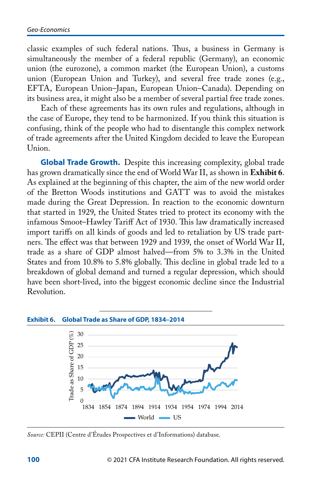classic examples of such federal nations. Thus, a business in Germany is simultaneously the member of a federal republic (Germany), an economic union (the eurozone), a common market (the European Union), a customs union (European Union and Turkey), and several free trade zones (e.g., EFTA, European Union–Japan, European Union–Canada). Depending on its business area, it might also be a member of several partial free trade zones.

Each of these agreements has its own rules and regulations, although in the case of Europe, they tend to be harmonized. If you think this situation is confusing, think of the people who had to disentangle this complex network of trade agreements after the United Kingdom decided to leave the European Union.

**Global Trade Growth.** Despite this increasing complexity, global trade has grown dramatically since the end of World War II, as shown in **Exhibit 6**. As explained at the beginning of this chapter, the aim of the new world order of the Bretton Woods institutions and GATT was to avoid the mistakes made during the Great Depression. In reaction to the economic downturn that started in 1929, the United States tried to protect its economy with the infamous Smoot–Hawley Tariff Act of 1930. This law dramatically increased import tariffs on all kinds of goods and led to retaliation by US trade partners. The effect was that between 1929 and 1939, the onset of World War II, trade as a share of GDP almost halved—from 5% to 3.3% in the United States and from 10.8% to 5.8% globally. This decline in global trade led to a breakdown of global demand and turned a regular depression, which should have been short-lived, into the biggest economic decline since the Industrial Revolution.

## **Exhibit 6. Global Trade as Share of GDP, 1834–2014**



*Source:* CEPII (Centre d'Études Prospectives et d'Informations) database.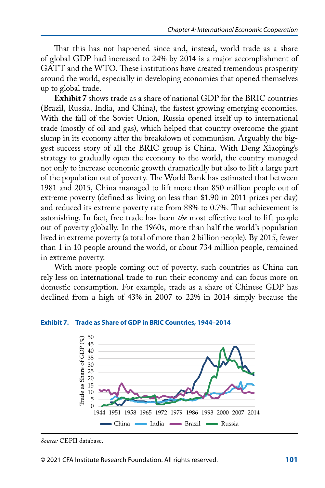That this has not happened since and, instead, world trade as a share of global GDP had increased to 24% by 2014 is a major accomplishment of GATT and the WTO. These institutions have created tremendous prosperity around the world, especially in developing economies that opened themselves up to global trade.

**Exhibit 7** shows trade as a share of national GDP for the BRIC countries (Brazil, Russia, India, and China), the fastest growing emerging economies. With the fall of the Soviet Union, Russia opened itself up to international trade (mostly of oil and gas), which helped that country overcome the giant slump in its economy after the breakdown of communism. Arguably the biggest success story of all the BRIC group is China. With Deng Xiaoping's strategy to gradually open the economy to the world, the country managed not only to increase economic growth dramatically but also to lift a large part of the population out of poverty. The World Bank has estimated that between 1981 and 2015, China managed to lift more than 850 million people out of extreme poverty (defined as living on less than \$1.90 in 2011 prices per day) and reduced its extreme poverty rate from 88% to 0.7%. That achievement is astonishing. In fact, free trade has been *the* most effective tool to lift people out of poverty globally. In the 1960s, more than half the world's population lived in extreme poverty (a total of more than 2 billion people). By 2015, fewer than 1 in 10 people around the world, or about 734 million people, remained in extreme poverty.

With more people coming out of poverty, such countries as China can rely less on international trade to run their economy and can focus more on domestic consumption. For example, trade as a share of Chinese GDP has declined from a high of 43% in 2007 to 22% in 2014 simply because the



#### **Exhibit 7. Trade as Share of GDP in BRIC Countries, 1944–2014**

*Source:* CEPII database.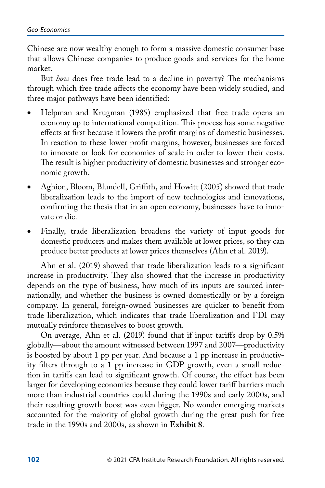Chinese are now wealthy enough to form a massive domestic consumer base that allows Chinese companies to produce goods and services for the home market.

But *how* does free trade lead to a decline in poverty? The mechanisms through which free trade affects the economy have been widely studied, and three major pathways have been identified:

- Helpman and Krugman (1985) emphasized that free trade opens an economy up to international competition. This process has some negative effects at first because it lowers the profit margins of domestic businesses. In reaction to these lower profit margins, however, businesses are forced to innovate or look for economies of scale in order to lower their costs. The result is higher productivity of domestic businesses and stronger economic growth.
- Aghion, Bloom, Blundell, Griffith, and Howitt (2005) showed that trade liberalization leads to the import of new technologies and innovations, confirming the thesis that in an open economy, businesses have to innovate or die.
- Finally, trade liberalization broadens the variety of input goods for domestic producers and makes them available at lower prices, so they can produce better products at lower prices themselves (Ahn et al. 2019).

Ahn et al. (2019) showed that trade liberalization leads to a significant increase in productivity. They also showed that the increase in productivity depends on the type of business, how much of its inputs are sourced internationally, and whether the business is owned domestically or by a foreign company. In general, foreign-owned businesses are quicker to benefit from trade liberalization, which indicates that trade liberalization and FDI may mutually reinforce themselves to boost growth.

On average, Ahn et al. (2019) found that if input tariffs drop by 0.5% globally—about the amount witnessed between 1997 and 2007—productivity is boosted by about 1 pp per year. And because a 1 pp increase in productivity filters through to a 1 pp increase in GDP growth, even a small reduction in tariffs can lead to significant growth. Of course, the effect has been larger for developing economies because they could lower tariff barriers much more than industrial countries could during the 1990s and early 2000s, and their resulting growth boost was even bigger. No wonder emerging markets accounted for the majority of global growth during the great push for free trade in the 1990s and 2000s, as shown in **Exhibit 8**.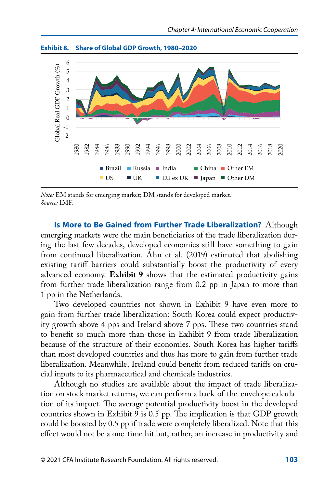

#### **Exhibit 8. Share of Global GDP Growth, 1980–2020**



**Is More to Be Gained from Further Trade Liberalization?** Although emerging markets were the main beneficiaries of the trade liberalization during the last few decades, developed economies still have something to gain from continued liberalization. Ahn et al. (2019) estimated that abolishing existing tariff barriers could substantially boost the productivity of every advanced economy. **Exhibit 9** shows that the estimated productivity gains from further trade liberalization range from 0.2 pp in Japan to more than 1 pp in the Netherlands.

Two developed countries not shown in Exhibit 9 have even more to gain from further trade liberalization: South Korea could expect productivity growth above 4 pps and Ireland above 7 pps. These two countries stand to benefit so much more than those in Exhibit 9 from trade liberalization because of the structure of their economies. South Korea has higher tariffs than most developed countries and thus has more to gain from further trade liberalization. Meanwhile, Ireland could benefit from reduced tariffs on crucial inputs to its pharmaceutical and chemicals industries.

Although no studies are available about the impact of trade liberalization on stock market returns, we can perform a back-of-the-envelope calculation of its impact. The average potential productivity boost in the developed countries shown in Exhibit 9 is 0.5 pp. The implication is that GDP growth could be boosted by 0.5 pp if trade were completely liberalized. Note that this effect would not be a one-time hit but, rather, an increase in productivity and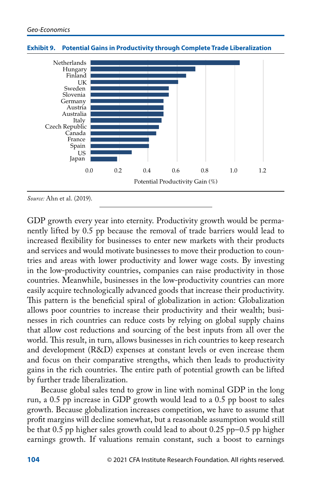

#### **Exhibit 9. Potential Gains in Productivity through Complete Trade Liberalization**

*Source:* Ahn et al. (2019).

GDP growth every year into eternity. Productivity growth would be permanently lifted by 0.5 pp because the removal of trade barriers would lead to increased flexibility for businesses to enter new markets with their products and services and would motivate businesses to move their production to countries and areas with lower productivity and lower wage costs. By investing in the low-productivity countries, companies can raise productivity in those countries. Meanwhile, businesses in the low-productivity countries can more easily acquire technologically advanced goods that increase their productivity. This pattern is the beneficial spiral of globalization in action: Globalization allows poor countries to increase their productivity and their wealth; businesses in rich countries can reduce costs by relying on global supply chains that allow cost reductions and sourcing of the best inputs from all over the world. This result, in turn, allows businesses in rich countries to keep research and development (R&D) expenses at constant levels or even increase them and focus on their comparative strengths, which then leads to productivity gains in the rich countries. The entire path of potential growth can be lifted by further trade liberalization.

Because global sales tend to grow in line with nominal GDP in the long run, a 0.5 pp increase in GDP growth would lead to a 0.5 pp boost to sales growth. Because globalization increases competition, we have to assume that profit margins will decline somewhat, but a reasonable assumption would still be that 0.5 pp higher sales growth could lead to about 0.25 pp–0.5 pp higher earnings growth. If valuations remain constant, such a boost to earnings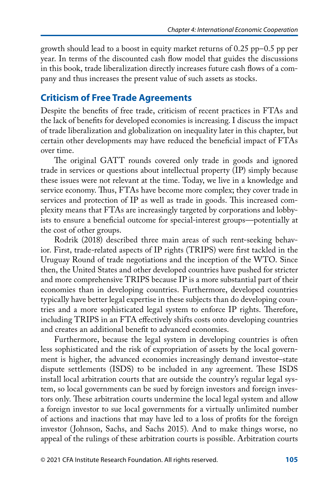growth should lead to a boost in equity market returns of 0.25 pp–0.5 pp per year. In terms of the discounted cash flow model that guides the discussions in this book, trade liberalization directly increases future cash flows of a company and thus increases the present value of such assets as stocks.

## **Criticism of Free Trade Agreements**

Despite the benefits of free trade, criticism of recent practices in FTAs and the lack of benefits for developed economies is increasing. I discuss the impact of trade liberalization and globalization on inequality later in this chapter, but certain other developments may have reduced the beneficial impact of FTAs over time.

The original GATT rounds covered only trade in goods and ignored trade in services or questions about intellectual property (IP) simply because these issues were not relevant at the time. Today, we live in a knowledge and service economy. Thus, FTAs have become more complex; they cover trade in services and protection of IP as well as trade in goods. This increased complexity means that FTAs are increasingly targeted by corporations and lobbyists to ensure a beneficial outcome for special-interest groups—potentially at the cost of other groups.

Rodrik (2018) described three main areas of such rent-seeking behavior. First, trade-related aspects of IP rights (TRIPS) were first tackled in the Uruguay Round of trade negotiations and the inception of the WTO. Since then, the United States and other developed countries have pushed for stricter and more comprehensive TRIPS because IP is a more substantial part of their economies than in developing countries. Furthermore, developed countries typically have better legal expertise in these subjects than do developing countries and a more sophisticated legal system to enforce IP rights. Therefore, including TRIPS in an FTA effectively shifts costs onto developing countries and creates an additional benefit to advanced economies.

Furthermore, because the legal system in developing countries is often less sophisticated and the risk of expropriation of assets by the local government is higher, the advanced economies increasingly demand investor–state dispute settlements (ISDS) to be included in any agreement. These ISDS install local arbitration courts that are outside the country's regular legal system, so local governments can be sued by foreign investors and foreign investors only. These arbitration courts undermine the local legal system and allow a foreign investor to sue local governments for a virtually unlimited number of actions and inactions that may have led to a loss of profits for the foreign investor (Johnson, Sachs, and Sachs 2015). And to make things worse, no appeal of the rulings of these arbitration courts is possible. Arbitration courts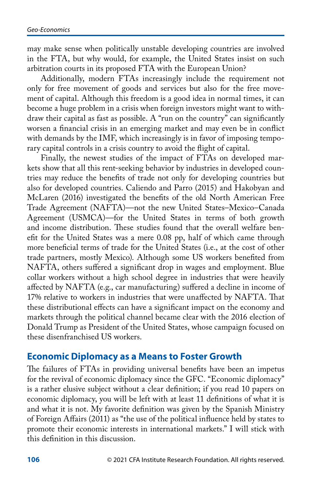may make sense when politically unstable developing countries are involved in the FTA, but why would, for example, the United States insist on such arbitration courts in its proposed FTA with the European Union?

Additionally, modern FTAs increasingly include the requirement not only for free movement of goods and services but also for the free movement of capital. Although this freedom is a good idea in normal times, it can become a huge problem in a crisis when foreign investors might want to withdraw their capital as fast as possible. A "run on the country" can significantly worsen a financial crisis in an emerging market and may even be in conflict with demands by the IMF, which increasingly is in favor of imposing temporary capital controls in a crisis country to avoid the flight of capital.

Finally, the newest studies of the impact of FTAs on developed markets show that all this rent-seeking behavior by industries in developed countries may reduce the benefits of trade not only for developing countries but also for developed countries. Caliendo and Parro (2015) and Hakobyan and McLaren (2016) investigated the benefits of the old North American Free Trade Agreement (NAFTA)—not the new United States–Mexico–Canada Agreement (USMCA)—for the United States in terms of both growth and income distribution. These studies found that the overall welfare benefit for the United States was a mere 0.08 pp, half of which came through more beneficial terms of trade for the United States (i.e., at the cost of other trade partners, mostly Mexico). Although some US workers benefited from NAFTA, others suffered a significant drop in wages and employment. Blue collar workers without a high school degree in industries that were heavily affected by NAFTA (e.g., car manufacturing) suffered a decline in income of 17% relative to workers in industries that were unaffected by NAFTA. That these distributional effects can have a significant impact on the economy and markets through the political channel became clear with the 2016 election of Donald Trump as President of the United States, whose campaign focused on these disenfranchised US workers.

## **Economic Diplomacy as a Means to Foster Growth**

The failures of FTAs in providing universal benefits have been an impetus for the revival of economic diplomacy since the GFC. "Economic diplomacy" is a rather elusive subject without a clear definition; if you read 10 papers on economic diplomacy, you will be left with at least 11 definitions of what it is and what it is not. My favorite definition was given by the Spanish Ministry of Foreign Affairs (2011) as "the use of the political influence held by states to promote their economic interests in international markets." I will stick with this definition in this discussion.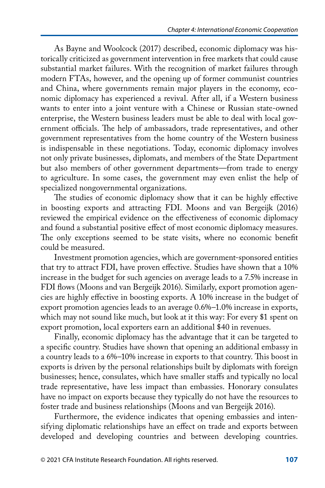As Bayne and Woolcock (2017) described, economic diplomacy was historically criticized as government intervention in free markets that could cause substantial market failures. With the recognition of market failures through modern FTAs, however, and the opening up of former communist countries and China, where governments remain major players in the economy, economic diplomacy has experienced a revival. After all, if a Western business wants to enter into a joint venture with a Chinese or Russian state-owned enterprise, the Western business leaders must be able to deal with local government officials. The help of ambassadors, trade representatives, and other government representatives from the home country of the Western business is indispensable in these negotiations. Today, economic diplomacy involves not only private businesses, diplomats, and members of the State Department but also members of other government departments—from trade to energy to agriculture. In some cases, the government may even enlist the help of specialized nongovernmental organizations.

The studies of economic diplomacy show that it can be highly effective in boosting exports and attracting FDI. Moons and van Bergeijk (2016) reviewed the empirical evidence on the effectiveness of economic diplomacy and found a substantial positive effect of most economic diplomacy measures. The only exceptions seemed to be state visits, where no economic benefit could be measured.

Investment promotion agencies, which are government-sponsored entities that try to attract FDI, have proven effective. Studies have shown that a 10% increase in the budget for such agencies on average leads to a 7.5% increase in FDI flows (Moons and van Bergeijk 2016). Similarly, export promotion agencies are highly effective in boosting exports. A 10% increase in the budget of export promotion agencies leads to an average 0.6%–1.0% increase in exports, which may not sound like much, but look at it this way: For every \$1 spent on export promotion, local exporters earn an additional \$40 in revenues.

Finally, economic diplomacy has the advantage that it can be targeted to a specific country. Studies have shown that opening an additional embassy in a country leads to a 6%–10% increase in exports to that country. This boost in exports is driven by the personal relationships built by diplomats with foreign businesses; hence, consulates, which have smaller staffs and typically no local trade representative, have less impact than embassies. Honorary consulates have no impact on exports because they typically do not have the resources to foster trade and business relationships (Moons and van Bergeijk 2016).

Furthermore, the evidence indicates that opening embassies and intensifying diplomatic relationships have an effect on trade and exports between developed and developing countries and between developing countries.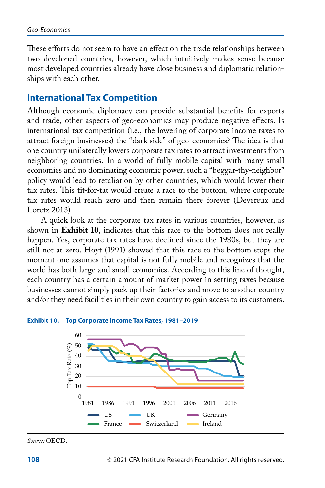These efforts do not seem to have an effect on the trade relationships between two developed countries, however, which intuitively makes sense because most developed countries already have close business and diplomatic relationships with each other.

## **International Tax Competition**

Although economic diplomacy can provide substantial benefits for exports and trade, other aspects of geo-economics may produce negative effects. Is international tax competition (i.e., the lowering of corporate income taxes to attract foreign businesses) the "dark side" of geo-economics? The idea is that one country unilaterally lowers corporate tax rates to attract investments from neighboring countries. In a world of fully mobile capital with many small economies and no dominating economic power, such a "beggar-thy-neighbor" policy would lead to retaliation by other countries, which would lower their tax rates. This tit-for-tat would create a race to the bottom, where corporate tax rates would reach zero and then remain there forever (Devereux and Loretz 2013).

A quick look at the corporate tax rates in various countries, however, as shown in **Exhibit 10**, indicates that this race to the bottom does not really happen. Yes, corporate tax rates have declined since the 1980s, but they are still not at zero. Hoyt (1991) showed that this race to the bottom stops the moment one assumes that capital is not fully mobile and recognizes that the world has both large and small economies. According to this line of thought, each country has a certain amount of market power in setting taxes because businesses cannot simply pack up their factories and move to another country and/or they need facilities in their own country to gain access to its customers.



#### **Exhibit 10. Top Corporate Income Tax Rates, 1981–2019**

*Source:* OECD.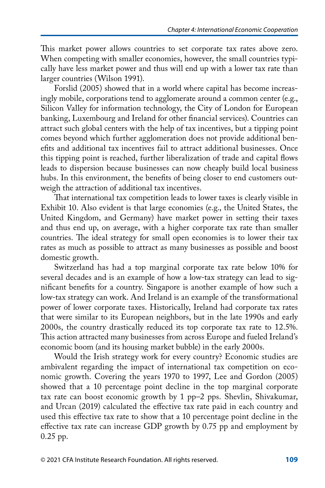This market power allows countries to set corporate tax rates above zero. When competing with smaller economies, however, the small countries typically have less market power and thus will end up with a lower tax rate than larger countries (Wilson 1991).

Forslid (2005) showed that in a world where capital has become increasingly mobile, corporations tend to agglomerate around a common center (e.g., Silicon Valley for information technology, the City of London for European banking, Luxembourg and Ireland for other financial services). Countries can attract such global centers with the help of tax incentives, but a tipping point comes beyond which further agglomeration does not provide additional benefits and additional tax incentives fail to attract additional businesses. Once this tipping point is reached, further liberalization of trade and capital flows leads to dispersion because businesses can now cheaply build local business hubs. In this environment, the benefits of being closer to end customers outweigh the attraction of additional tax incentives.

That international tax competition leads to lower taxes is clearly visible in Exhibit 10. Also evident is that large economies (e.g., the United States, the United Kingdom, and Germany) have market power in setting their taxes and thus end up, on average, with a higher corporate tax rate than smaller countries. The ideal strategy for small open economies is to lower their tax rates as much as possible to attract as many businesses as possible and boost domestic growth.

Switzerland has had a top marginal corporate tax rate below 10% for several decades and is an example of how a low-tax strategy can lead to significant benefits for a country. Singapore is another example of how such a low-tax strategy can work. And Ireland is an example of the transformational power of lower corporate taxes. Historically, Ireland had corporate tax rates that were similar to its European neighbors, but in the late 1990s and early 2000s, the country drastically reduced its top corporate tax rate to 12.5%. This action attracted many businesses from across Europe and fueled Ireland's economic boom (and its housing market bubble) in the early 2000s.

Would the Irish strategy work for every country? Economic studies are ambivalent regarding the impact of international tax competition on economic growth. Covering the years 1970 to 1997, Lee and Gordon (2005) showed that a 10 percentage point decline in the top marginal corporate tax rate can boost economic growth by 1 pp–2 pps. Shevlin, Shivakumar, and Urcan (2019) calculated the effective tax rate paid in each country and used this effective tax rate to show that a 10 percentage point decline in the effective tax rate can increase GDP growth by 0.75 pp and employment by 0.25 pp.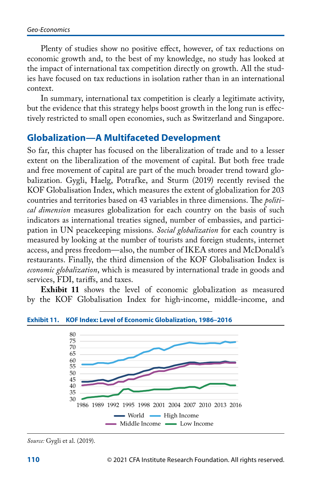Plenty of studies show no positive effect, however, of tax reductions on economic growth and, to the best of my knowledge, no study has looked at the impact of international tax competition directly on growth. All the studies have focused on tax reductions in isolation rather than in an international context.

In summary, international tax competition is clearly a legitimate activity, but the evidence that this strategy helps boost growth in the long run is effectively restricted to small open economies, such as Switzerland and Singapore.

## **Globalization—A Multifaceted Development**

So far, this chapter has focused on the liberalization of trade and to a lesser extent on the liberalization of the movement of capital. But both free trade and free movement of capital are part of the much broader trend toward globalization. Gygli, Haelg, Potrafke, and Sturm (2019) recently revised the KOF Globalisation Index, which measures the extent of globalization for 203 countries and territories based on 43 variables in three dimensions. The *political dimension* measures globalization for each country on the basis of such indicators as international treaties signed, number of embassies, and participation in UN peacekeeping missions. *Social globalization* for each country is measured by looking at the number of tourists and foreign students, internet access, and press freedom—also, the number of IKEA stores and McDonald's restaurants. Finally, the third dimension of the KOF Globalisation Index is *economic globalization*, which is measured by international trade in goods and services, FDI, tariffs, and taxes.

**Exhibit 11** shows the level of economic globalization as measured by the KOF Globalisation Index for high-income, middle-income, and

#### **Exhibit 11. KOF Index: Level of Economic Globalization, 1986–2016**



*Source:* Gygli et al. (2019).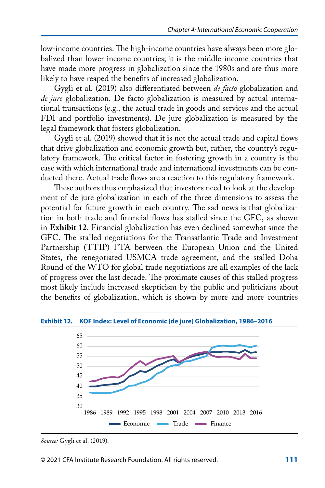low-income countries. The high-income countries have always been more globalized than lower income countries; it is the middle-income countries that have made more progress in globalization since the 1980s and are thus more likely to have reaped the benefits of increased globalization.

Gygli et al. (2019) also differentiated between *de facto* globalization and *de jure* globalization. De facto globalization is measured by actual international transactions (e.g., the actual trade in goods and services and the actual FDI and portfolio investments). De jure globalization is measured by the legal framework that fosters globalization.

Gygli et al. (2019) showed that it is not the actual trade and capital flows that drive globalization and economic growth but, rather, the country's regulatory framework. The critical factor in fostering growth in a country is the ease with which international trade and international investments can be conducted there. Actual trade flows are a reaction to this regulatory framework.

These authors thus emphasized that investors need to look at the development of de jure globalization in each of the three dimensions to assess the potential for future growth in each country. The sad news is that globalization in both trade and financial flows has stalled since the GFC, as shown in **Exhibit 12**. Financial globalization has even declined somewhat since the GFC. The stalled negotiations for the Transatlantic Trade and Investment Partnership (TTIP) FTA between the European Union and the United States, the renegotiated USMCA trade agreement, and the stalled Doha Round of the WTO for global trade negotiations are all examples of the lack of progress over the last decade. The proximate causes of this stalled progress most likely include increased skepticism by the public and politicians about the benefits of globalization, which is shown by more and more countries



**Exhibit 12. KOF Index: Level of Economic (de jure) Globalization, 1986–2016**

*Source:* Gygli et al. (2019).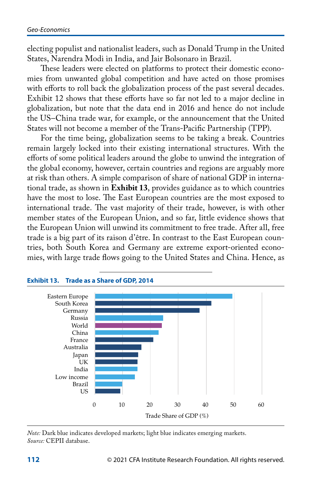electing populist and nationalist leaders, such as Donald Trump in the United States, Narendra Modi in India, and Jair Bolsonaro in Brazil.

These leaders were elected on platforms to protect their domestic economies from unwanted global competition and have acted on those promises with efforts to roll back the globalization process of the past several decades. Exhibit 12 shows that these efforts have so far not led to a major decline in globalization, but note that the data end in 2016 and hence do not include the US–China trade war, for example, or the announcement that the United States will not become a member of the Trans-Pacific Partnership (TPP).

For the time being, globalization seems to be taking a break. Countries remain largely locked into their existing international structures. With the efforts of some political leaders around the globe to unwind the integration of the global economy, however, certain countries and regions are arguably more at risk than others. A simple comparison of share of national GDP in international trade, as shown in **Exhibit 13**, provides guidance as to which countries have the most to lose. The East European countries are the most exposed to international trade. The vast majority of their trade, however, is with other member states of the European Union, and so far, little evidence shows that the European Union will unwind its commitment to free trade. After all, free trade is a big part of its raison d'être. In contrast to the East European countries, both South Korea and Germany are extreme export-oriented economies, with large trade flows going to the United States and China. Hence, as



### **Exhibit 13. Trade as a Share of GDP, 2014**

*Note:* Dark blue indicates developed markets; light blue indicates emerging markets. *Source:* CEPII database.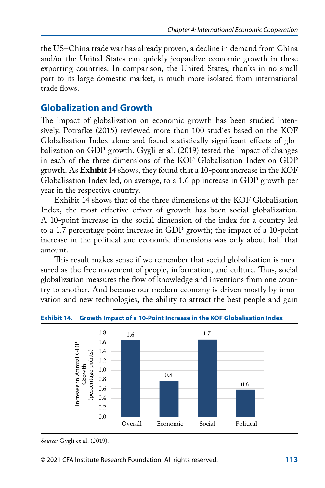the US–China trade war has already proven, a decline in demand from China and/or the United States can quickly jeopardize economic growth in these exporting countries. In comparison, the United States, thanks in no small part to its large domestic market, is much more isolated from international trade flows.

## **Globalization and Growth**

The impact of globalization on economic growth has been studied intensively. Potrafke (2015) reviewed more than 100 studies based on the KOF Globalisation Index alone and found statistically significant effects of globalization on GDP growth. Gygli et al. (2019) tested the impact of changes in each of the three dimensions of the KOF Globalisation Index on GDP growth. As **Exhibit 14** shows, they found that a 10-point increase in the KOF Globalisation Index led, on average, to a 1.6 pp increase in GDP growth per year in the respective country.

Exhibit 14 shows that of the three dimensions of the KOF Globalisation Index, the most effective driver of growth has been social globalization. A 10-point increase in the social dimension of the index for a country led to a 1.7 percentage point increase in GDP growth; the impact of a 10-point increase in the political and economic dimensions was only about half that amount.

This result makes sense if we remember that social globalization is measured as the free movement of people, information, and culture. Thus, social globalization measures the flow of knowledge and inventions from one country to another. And because our modern economy is driven mostly by innovation and new technologies, the ability to attract the best people and gain



#### **Exhibit 14. Growth Impact of a 10-Point Increase in the KOF Globalisation Index**

*Source:* Gygli et al. (2019).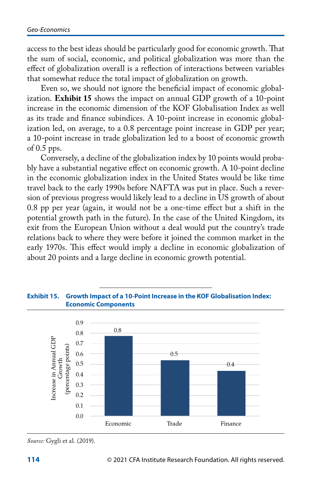access to the best ideas should be particularly good for economic growth. That the sum of social, economic, and political globalization was more than the effect of globalization overall is a reflection of interactions between variables that somewhat reduce the total impact of globalization on growth.

Even so, we should not ignore the beneficial impact of economic globalization. **Exhibit 15** shows the impact on annual GDP growth of a 10-point increase in the economic dimension of the KOF Globalisation Index as well as its trade and finance subindices. A 10-point increase in economic globalization led, on average, to a 0.8 percentage point increase in GDP per year; a 10-point increase in trade globalization led to a boost of economic growth of 0.5 pps.

Conversely, a decline of the globalization index by 10 points would probably have a substantial negative effect on economic growth. A 10-point decline in the economic globalization index in the United States would be like time travel back to the early 1990s before NAFTA was put in place. Such a reversion of previous progress would likely lead to a decline in US growth of about 0.8 pp per year (again, it would not be a one-time effect but a shift in the potential growth path in the future). In the case of the United Kingdom, its exit from the European Union without a deal would put the country's trade relations back to where they were before it joined the common market in the early 1970s. This effect would imply a decline in economic globalization of about 20 points and a large decline in economic growth potential.



# **Exhibit 15. Growth Impact of a 10-Point Increase in the KOF Globalisation Index:**

*Source:* Gygli et al. (2019).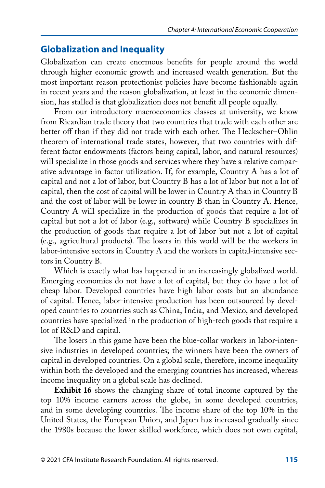## **Globalization and Inequality**

Globalization can create enormous benefits for people around the world through higher economic growth and increased wealth generation. But the most important reason protectionist policies have become fashionable again in recent years and the reason globalization, at least in the economic dimension, has stalled is that globalization does not benefit all people equally.

From our introductory macroeconomics classes at university, we know from Ricardian trade theory that two countries that trade with each other are better off than if they did not trade with each other. The Heckscher–Ohlin theorem of international trade states, however, that two countries with different factor endowments (factors being capital, labor, and natural resources) will specialize in those goods and services where they have a relative comparative advantage in factor utilization. If, for example, Country A has a lot of capital and not a lot of labor, but Country B has a lot of labor but not a lot of capital, then the cost of capital will be lower in Country A than in Country B and the cost of labor will be lower in country B than in Country A. Hence, Country A will specialize in the production of goods that require a lot of capital but not a lot of labor (e.g., software) while Country B specializes in the production of goods that require a lot of labor but not a lot of capital (e.g., agricultural products). The losers in this world will be the workers in labor-intensive sectors in Country A and the workers in capital-intensive sectors in Country B.

Which is exactly what has happened in an increasingly globalized world. Emerging economies do not have a lot of capital, but they do have a lot of cheap labor. Developed countries have high labor costs but an abundance of capital. Hence, labor-intensive production has been outsourced by developed countries to countries such as China, India, and Mexico, and developed countries have specialized in the production of high-tech goods that require a lot of R&D and capital.

The losers in this game have been the blue-collar workers in labor-intensive industries in developed countries; the winners have been the owners of capital in developed countries. On a global scale, therefore, income inequality within both the developed and the emerging countries has increased, whereas income inequality on a global scale has declined.

**Exhibit 16** shows the changing share of total income captured by the top 10% income earners across the globe, in some developed countries, and in some developing countries. The income share of the top 10% in the United States, the European Union, and Japan has increased gradually since the 1980s because the lower skilled workforce, which does not own capital,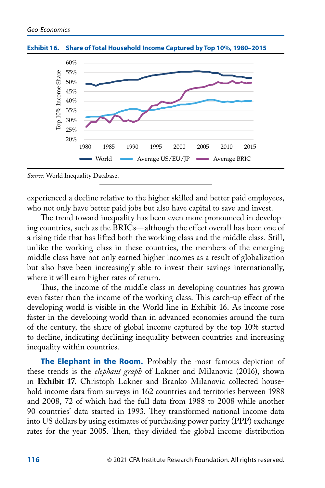

**Exhibit 16. Share of Total Household Income Captured by Top 10%, 1980–2015**

*Source:* World Inequality Database.

experienced a decline relative to the higher skilled and better paid employees, who not only have better paid jobs but also have capital to save and invest.

The trend toward inequality has been even more pronounced in developing countries, such as the BRICs—although the effect overall has been one of a rising tide that has lifted both the working class and the middle class. Still, unlike the working class in these countries, the members of the emerging middle class have not only earned higher incomes as a result of globalization but also have been increasingly able to invest their savings internationally, where it will earn higher rates of return.

Thus, the income of the middle class in developing countries has grown even faster than the income of the working class. This catch-up effect of the developing world is visible in the World line in Exhibit 16. As income rose faster in the developing world than in advanced economies around the turn of the century, the share of global income captured by the top 10% started to decline, indicating declining inequality between countries and increasing inequality within countries.

**The Elephant in the Room.** Probably the most famous depiction of these trends is the *elephant graph* of Lakner and Milanovic (2016), shown in **Exhibit 17**. Christoph Lakner and Branko Milanovic collected household income data from surveys in 162 countries and territories between 1988 and 2008, 72 of which had the full data from 1988 to 2008 while another 90 countries' data started in 1993. They transformed national income data into US dollars by using estimates of purchasing power parity (PPP) exchange rates for the year 2005. Then, they divided the global income distribution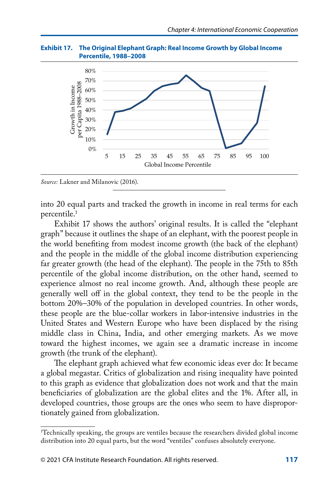



*Source:* Lakner and Milanovic (2016).

into 20 equal parts and tracked the growth in income in real terms for each percentile.<sup>1</sup>

Exhibit 17 shows the authors' original results. It is called the "elephant graph" because it outlines the shape of an elephant, with the poorest people in the world benefiting from modest income growth (the back of the elephant) and the people in the middle of the global income distribution experiencing far greater growth (the head of the elephant). The people in the 75th to 85th percentile of the global income distribution, on the other hand, seemed to experience almost no real income growth. And, although these people are generally well off in the global context, they tend to be the people in the bottom 20%–30% of the population in developed countries. In other words, these people are the blue-collar workers in labor-intensive industries in the United States and Western Europe who have been displaced by the rising middle class in China, India, and other emerging markets. As we move toward the highest incomes, we again see a dramatic increase in income growth (the trunk of the elephant).

The elephant graph achieved what few economic ideas ever do: It became a global megastar. Critics of globalization and rising inequality have pointed to this graph as evidence that globalization does not work and that the main beneficiaries of globalization are the global elites and the 1%. After all, in developed countries, those groups are the ones who seem to have disproportionately gained from globalization.

<sup>1</sup> Technically speaking, the groups are ventiles because the researchers divided global income distribution into 20 equal parts, but the word "ventiles" confuses absolutely everyone.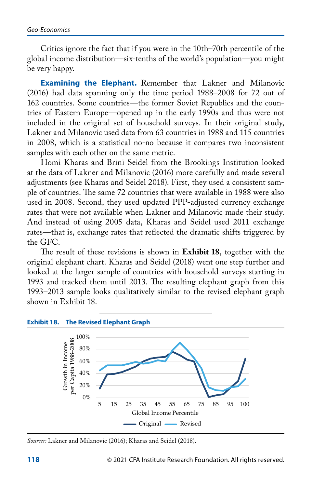Critics ignore the fact that if you were in the 10th–70th percentile of the global income distribution—six-tenths of the world's population—you might be very happy.

**Examining the Elephant.** Remember that Lakner and Milanovic (2016) had data spanning only the time period 1988–2008 for 72 out of 162 countries. Some countries—the former Soviet Republics and the countries of Eastern Europe—opened up in the early 1990s and thus were not included in the original set of household surveys. In their original study, Lakner and Milanovic used data from 63 countries in 1988 and 115 countries in 2008, which is a statistical no-no because it compares two inconsistent samples with each other on the same metric.

Homi Kharas and Brini Seidel from the Brookings Institution looked at the data of Lakner and Milanovic (2016) more carefully and made several adjustments (see Kharas and Seidel 2018). First, they used a consistent sample of countries. The same 72 countries that were available in 1988 were also used in 2008. Second, they used updated PPP-adjusted currency exchange rates that were not available when Lakner and Milanovic made their study. And instead of using 2005 data, Kharas and Seidel used 2011 exchange rates—that is, exchange rates that reflected the dramatic shifts triggered by the GFC.

The result of these revisions is shown in **Exhibit 18**, together with the original elephant chart. Kharas and Seidel (2018) went one step further and looked at the larger sample of countries with household surveys starting in 1993 and tracked them until 2013. The resulting elephant graph from this 1993–2013 sample looks qualitatively similar to the revised elephant graph shown in Exhibit 18.



#### **Exhibit 18. The Revised Elephant Graph**

*Sources:* Lakner and Milanovic (2016); Kharas and Seidel (2018).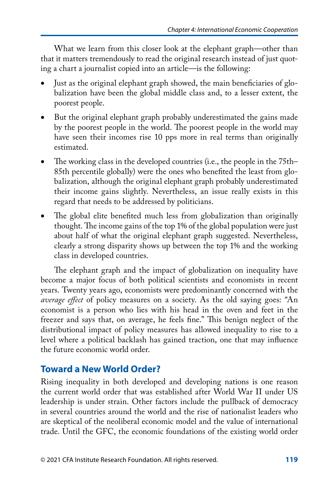What we learn from this closer look at the elephant graph—other than that it matters tremendously to read the original research instead of just quoting a chart a journalist copied into an article—is the following:

- Just as the original elephant graph showed, the main beneficiaries of globalization have been the global middle class and, to a lesser extent, the poorest people.
- But the original elephant graph probably underestimated the gains made by the poorest people in the world. The poorest people in the world may have seen their incomes rise 10 pps more in real terms than originally estimated.
- The working class in the developed countries (i.e., the people in the 75th– 85th percentile globally) were the ones who benefited the least from globalization, although the original elephant graph probably underestimated their income gains slightly. Nevertheless, an issue really exists in this regard that needs to be addressed by politicians.
- The global elite benefited much less from globalization than originally thought. The income gains of the top 1% of the global population were just about half of what the original elephant graph suggested. Nevertheless, clearly a strong disparity shows up between the top 1% and the working class in developed countries.

The elephant graph and the impact of globalization on inequality have become a major focus of both political scientists and economists in recent years. Twenty years ago, economists were predominantly concerned with the *average effect* of policy measures on a society. As the old saying goes: "An economist is a person who lies with his head in the oven and feet in the freezer and says that, on average, he feels fine." This benign neglect of the distributional impact of policy measures has allowed inequality to rise to a level where a political backlash has gained traction, one that may influence the future economic world order.

# **Toward a New World Order?**

Rising inequality in both developed and developing nations is one reason the current world order that was established after World War II under US leadership is under strain. Other factors include the pullback of democracy in several countries around the world and the rise of nationalist leaders who are skeptical of the neoliberal economic model and the value of international trade. Until the GFC, the economic foundations of the existing world order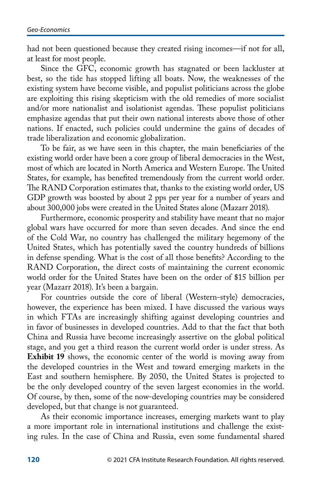had not been questioned because they created rising incomes—if not for all, at least for most people.

Since the GFC, economic growth has stagnated or been lackluster at best, so the tide has stopped lifting all boats. Now, the weaknesses of the existing system have become visible, and populist politicians across the globe are exploiting this rising skepticism with the old remedies of more socialist and/or more nationalist and isolationist agendas. These populist politicians emphasize agendas that put their own national interests above those of other nations. If enacted, such policies could undermine the gains of decades of trade liberalization and economic globalization.

To be fair, as we have seen in this chapter, the main beneficiaries of the existing world order have been a core group of liberal democracies in the West, most of which are located in North America and Western Europe. The United States, for example, has benefited tremendously from the current world order. The RAND Corporation estimates that, thanks to the existing world order, US GDP growth was boosted by about 2 pps per year for a number of years and about 300,000 jobs were created in the United States alone (Mazarr 2018).

Furthermore, economic prosperity and stability have meant that no major global wars have occurred for more than seven decades. And since the end of the Cold War, no country has challenged the military hegemony of the United States, which has potentially saved the country hundreds of billions in defense spending. What is the cost of all those benefits? According to the RAND Corporation, the direct costs of maintaining the current economic world order for the United States have been on the order of \$15 billion per year (Mazarr 2018). It's been a bargain.

For countries outside the core of liberal (Western-style) democracies, however, the experience has been mixed. I have discussed the various ways in which FTAs are increasingly shifting against developing countries and in favor of businesses in developed countries. Add to that the fact that both China and Russia have become increasingly assertive on the global political stage, and you get a third reason the current world order is under stress. As **Exhibit 19** shows, the economic center of the world is moving away from the developed countries in the West and toward emerging markets in the East and southern hemisphere. By 2050, the United States is projected to be the only developed country of the seven largest economies in the world. Of course, by then, some of the now-developing countries may be considered developed, but that change is not guaranteed.

As their economic importance increases, emerging markets want to play a more important role in international institutions and challenge the existing rules. In the case of China and Russia, even some fundamental shared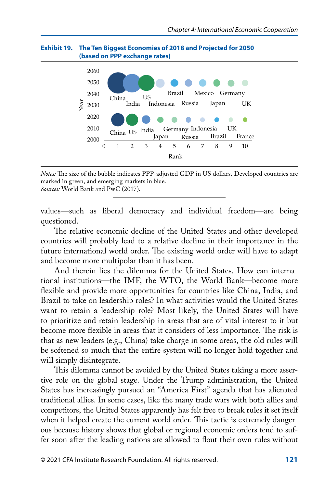



*Notes:* The size of the bubble indicates PPP-adjusted GDP in US dollars. Developed countries are marked in green, and emerging markets in blue. *Sources:* World Bank and PwC (2017).

values—such as liberal democracy and individual freedom—are being questioned.

The relative economic decline of the United States and other developed countries will probably lead to a relative decline in their importance in the future international world order. The existing world order will have to adapt and become more multipolar than it has been.

And therein lies the dilemma for the United States. How can international institutions—the IMF, the WTO, the World Bank—become more flexible and provide more opportunities for countries like China, India, and Brazil to take on leadership roles? In what activities would the United States want to retain a leadership role? Most likely, the United States will have to prioritize and retain leadership in areas that are of vital interest to it but become more flexible in areas that it considers of less importance. The risk is that as new leaders (e.g., China) take charge in some areas, the old rules will be softened so much that the entire system will no longer hold together and will simply disintegrate.

This dilemma cannot be avoided by the United States taking a more assertive role on the global stage. Under the Trump administration, the United States has increasingly pursued an "America First" agenda that has alienated traditional allies. In some cases, like the many trade wars with both allies and competitors, the United States apparently has felt free to break rules it set itself when it helped create the current world order. This tactic is extremely dangerous because history shows that global or regional economic orders tend to suffer soon after the leading nations are allowed to flout their own rules without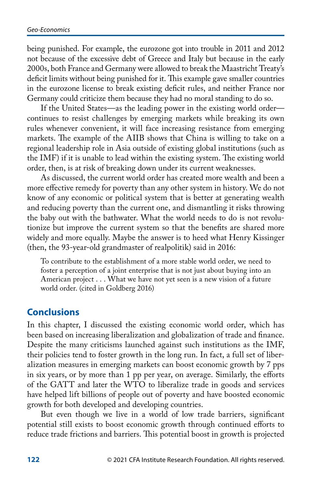being punished. For example, the eurozone got into trouble in 2011 and 2012 not because of the excessive debt of Greece and Italy but because in the early 2000s, both France and Germany were allowed to break the Maastricht Treaty's deficit limits without being punished for it. This example gave smaller countries in the eurozone license to break existing deficit rules, and neither France nor Germany could criticize them because they had no moral standing to do so.

If the United States—as the leading power in the existing world order continues to resist challenges by emerging markets while breaking its own rules whenever convenient, it will face increasing resistance from emerging markets. The example of the AIIB shows that China is willing to take on a regional leadership role in Asia outside of existing global institutions (such as the IMF) if it is unable to lead within the existing system. The existing world order, then, is at risk of breaking down under its current weaknesses.

As discussed, the current world order has created more wealth and been a more effective remedy for poverty than any other system in history. We do not know of any economic or political system that is better at generating wealth and reducing poverty than the current one, and dismantling it risks throwing the baby out with the bathwater. What the world needs to do is not revolutionize but improve the current system so that the benefits are shared more widely and more equally. Maybe the answer is to heed what Henry Kissinger (then, the 93-year-old grandmaster of realpolitik) said in 2016:

To contribute to the establishment of a more stable world order, we need to foster a perception of a joint enterprise that is not just about buying into an American project . . . What we have not yet seen is a new vision of a future world order. (cited in Goldberg 2016)

## **Conclusions**

In this chapter, I discussed the existing economic world order, which has been based on increasing liberalization and globalization of trade and finance. Despite the many criticisms launched against such institutions as the IMF, their policies tend to foster growth in the long run. In fact, a full set of liberalization measures in emerging markets can boost economic growth by 7 pps in six years, or by more than 1 pp per year, on average. Similarly, the efforts of the GATT and later the WTO to liberalize trade in goods and services have helped lift billions of people out of poverty and have boosted economic growth for both developed and developing countries.

But even though we live in a world of low trade barriers, significant potential still exists to boost economic growth through continued efforts to reduce trade frictions and barriers. This potential boost in growth is projected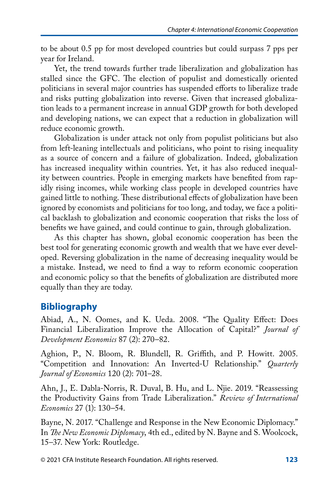to be about 0.5 pp for most developed countries but could surpass 7 pps per year for Ireland.

Yet, the trend towards further trade liberalization and globalization has stalled since the GFC. The election of populist and domestically oriented politicians in several major countries has suspended efforts to liberalize trade and risks putting globalization into reverse. Given that increased globalization leads to a permanent increase in annual GDP growth for both developed and developing nations, we can expect that a reduction in globalization will reduce economic growth.

Globalization is under attack not only from populist politicians but also from left-leaning intellectuals and politicians, who point to rising inequality as a source of concern and a failure of globalization. Indeed, globalization has increased inequality within countries. Yet, it has also reduced inequality between countries. People in emerging markets have benefited from rapidly rising incomes, while working class people in developed countries have gained little to nothing. These distributional effects of globalization have been ignored by economists and politicians for too long, and today, we face a political backlash to globalization and economic cooperation that risks the loss of benefits we have gained, and could continue to gain, through globalization.

As this chapter has shown, global economic cooperation has been the best tool for generating economic growth and wealth that we have ever developed. Reversing globalization in the name of decreasing inequality would be a mistake. Instead, we need to find a way to reform economic cooperation and economic policy so that the benefits of globalization are distributed more equally than they are today.

# **Bibliography**

[Abiad, A., N. Oomes, and K. Ueda. 2008. "The Quality Effect: Does](https://doi.org/doi:10.1016/j.jdeveco.2007.12.002) [Financial Liberalization Improve the Allocation of Capital?"](https://doi.org/doi:10.1016/j.jdeveco.2007.12.002) *Journal of [Development Economics](https://doi.org/doi:10.1016/j.jdeveco.2007.12.002)* 87 (2): 270–82.

Aghion, P., N. Bloom, R. Blundell, R. Griffith, and P. Howitt. 2005. "Competition and Innovation: An Inverted-U Relationship." *Quarterly Journal of Economics* 120 (2): 701–28.

[Ahn, J., E. Dabla‐Norris, R. Duval, B. Hu, and L. Njie. 2019. "Reassessing](https://doi.org/doi:10.1111/roie.12364)  [the Productivity Gains from Trade Liberalization."](https://doi.org/doi:10.1111/roie.12364) *Review of International Economics* [27 \(1\): 130–54.](https://doi.org/doi:10.1111/roie.12364)

Bayne, N. 2017. "Challenge and Response in the New Economic Diplomacy." In *The New Economic Diplomacy*, 4th ed., edited by N. Bayne and S. Woolcock, 15–37. New York: Routledge.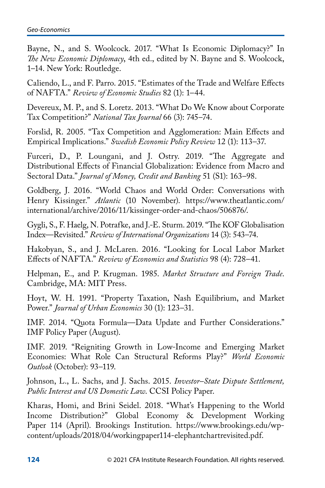Bayne, N., and S. Woolcock. 2017. "What Is Economic Diplomacy?" In *The New Economic Diplomacy*, 4th ed., edited by N. Bayne and S. Woolcock, 1–14. New York: Routledge.

[Caliendo, L., and F. Parro. 2015. "Estimates of the Trade and Welfare Effects](https://doi.org/doi:10.1093/restud/rdu035)  of NAFTA." *[Review of Economic Studies](https://doi.org/doi:10.1093/restud/rdu035)* 82 (1): 1–44.

[Devereux, M. P., and S. Loretz. 2013. "What Do We Know about Corporate](https://doi.org/doi:10.17310/ntj.2013.3.08)  Tax Competition?" *[National Tax Journal](https://doi.org/doi:10.17310/ntj.2013.3.08)* 66 (3): 745–74.

Forslid, R. 2005. "Tax Competition and Agglomeration: Main Effects and Empirical Implications." *Swedish Economic Policy Review* 12 (1): 113–37.

[Furceri, D., P. Loungani, and J. Ostry. 2019. "The Aggregate and](https://doi.org/doi.org/10.1111/jmcb.12668)  [Distributional Effects of Financial Globalization: Evidence from Macro and](https://doi.org/doi.org/10.1111/jmcb.12668)  Sectoral Data." *[Journal of Money, Credit and Banking](https://doi.org/doi.org/10.1111/jmcb.12668)* 51 (S1): 163–98.

Goldberg, J. 2016. "World Chaos and World Order: Conversations with Henry Kissinger." *Atlantic* (10 November). [https://www.theatlantic.com/](https://www.theatlantic.com/international/archive/2016/11/kissinger-order-and-chaos/506876/) [international/archive/2016/11/kissinger-order-and-chaos/506876/](https://www.theatlantic.com/international/archive/2016/11/kissinger-order-and-chaos/506876/).

[Gygli, S., F. Haelg, N. Potrafke, and J.-E. Sturm. 2019. "The KOF Globalisation](https://doi.org/doi:10.1007/s11558-019-09344-2)  Index—Revisited." *[Review of International Organizations](https://doi.org/doi:10.1007/s11558-019-09344-2)* 14 (3): 543–74.

[Hakobyan, S., and J. McLaren. 2016. "Looking for Local Labor Market](https://doi.org/doi:10.1162/REST_a_00587) Effects of NAFTA." *[Review of Economics and Statistics](https://doi.org/doi:10.1162/REST_a_00587)* 98 (4): 728–41.

Helpman, E., and P. Krugman. 1985. *Market Structure and Foreign Trade*. Cambridge, MA: MIT Press.

[Hoyt, W. H. 1991. "Property Taxation, Nash Equilibrium, and Market](https://doi.org/doi:10.1016/0094-1190(91)90049-D)  Power." *[Journal of Urban Economics](https://doi.org/doi:10.1016/0094-1190(91)90049-D)* 30 (1): 123–31.

IMF. 2014. "Quota Formula—Data Update and Further Considerations." IMF Policy Paper (August).

IMF. 2019. "Reigniting Growth in Low-Income and Emerging Market Economies: What Role Can Structural Reforms Play?" *World Economic Outlook* (October): 93–119.

Johnson, L., L. Sachs, and J. Sachs. 2015. *Investor–State Dispute Settlement, Public Interest and US Domestic Law*. CCSI Policy Paper.

Kharas, Homi, and Brini Seidel. 2018. "What's Happening to the World Income Distribution?" Global Economy & Development Working Paper 114 (April). Brookings Institution. [https://www.brookings.edu/wp](https://www.brookings.edu/wp-content/uploads/2018/04/workingpaper114-elephantchartrevisited.pdf)[content/uploads/2018/04/workingpaper114-elephantchartrevisited.pdf.](https://www.brookings.edu/wp-content/uploads/2018/04/workingpaper114-elephantchartrevisited.pdf)